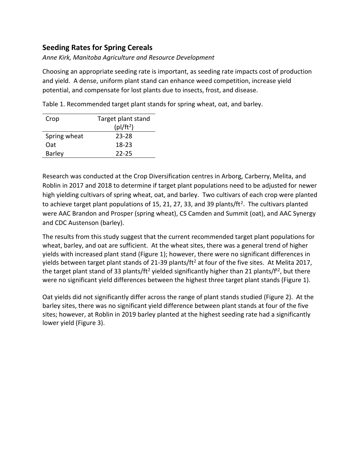## **Seeding Rates for Spring Cereals**

*Anne Kirk, Manitoba Agriculture and Resource Development*

Choosing an appropriate seeding rate is important, as seeding rate impacts cost of production and yield. A dense, uniform plant stand can enhance weed competition, increase yield potential, and compensate for lost plants due to insects, frost, and disease.

| Crop          | Target plant stand |
|---------------|--------------------|
|               | $(p)/ft^2)$        |
| Spring wheat  | 23-28              |
| 0at           | 18-23              |
| <b>Barley</b> | 22-25              |

Table 1. Recommended target plant stands for spring wheat, oat, and barley.

Research was conducted at the Crop Diversification centres in Arborg, Carberry, Melita, and Roblin in 2017 and 2018 to determine if target plant populations need to be adjusted for newer high yielding cultivars of spring wheat, oat, and barley. Two cultivars of each crop were planted to achieve target plant populations of 15, 21, 27, 33, and 39 plants/ft<sup>2</sup>. The cultivars planted were AAC Brandon and Prosper (spring wheat), CS Camden and Summit (oat), and AAC Synergy and CDC Austenson (barley).

The results from this study suggest that the current recommended target plant populations for wheat, barley, and oat are sufficient. At the wheat sites, there was a general trend of higher yields with increased plant stand (Figure 1); however, there were no significant differences in yields between target plant stands of 21-39 plants/ft<sup>2</sup> at four of the five sites. At Melita 2017, the target plant stand of 33 plants/ft<sup>2</sup> yielded significantly higher than 21 plants/f<sup>t2</sup>, but there were no significant yield differences between the highest three target plant stands (Figure 1).

Oat yields did not significantly differ across the range of plant stands studied (Figure 2). At the barley sites, there was no significant yield difference between plant stands at four of the five sites; however, at Roblin in 2019 barley planted at the highest seeding rate had a significantly lower yield (Figure 3).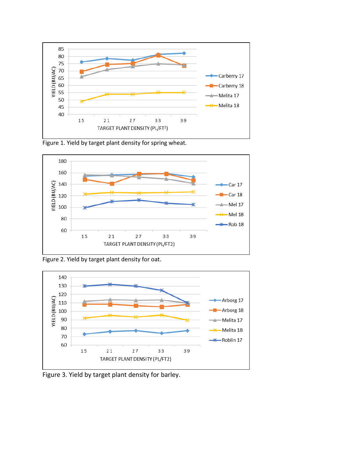

Figure 1. Yield by target plant density for spring wheat.



Figure 2. Yield by target plant density for oat.



Figure 3. Yield by target plant density for barley.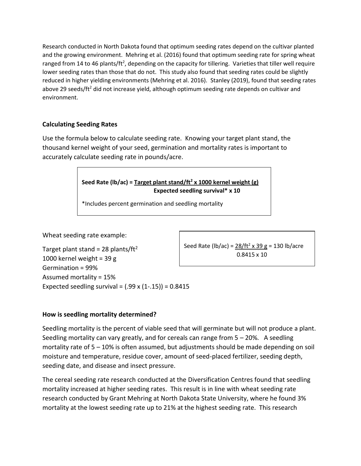Research conducted in North Dakota found that optimum seeding rates depend on the cultivar planted and the growing environment. Mehring et al. (2016) found that optimum seeding rate for spring wheat ranged from 14 to 46 plants/ft<sup>2</sup>, depending on the capacity for tillering. Varieties that tiller well require lower seeding rates than those that do not. This study also found that seeding rates could be slightly reduced in higher yielding environments (Mehring et al. 2016). Stanley (2019), found that seeding rates above 29 seeds/ft<sup>2</sup> did not increase yield, although optimum seeding rate depends on cultivar and environment.

## **Calculating Seeding Rates**

Use the formula below to calculate seeding rate. Knowing your target plant stand, the thousand kernel weight of your seed, germination and mortality rates is important to accurately calculate seeding rate in pounds/acre.

> **Seed Rate (lb/ac) = Target plant stand/ft<sup>2</sup> x 1000 kernel weight (g) Expected seedling survival\* x 10**

\*Includes percent germination and seedling mortality

Wheat seeding rate example:

Target plant stand = 28 plants/ft<sup>2</sup> 1000 kernel weight = 39 g Germination = 99% Assumed mortality = 15% Expected seedling survival =  $(.99 \times (1-.15)) = 0.8415$ 

Seed Rate (lb/ac) = 28/ft<sup>2</sup> x 39 g = 130 lb/acre 0.8415 x 10

## **How is seedling mortality determined?**

Seedling mortality is the percent of viable seed that will germinate but will not produce a plant. Seedling mortality can vary greatly, and for cereals can range from 5 – 20%. A seedling mortality rate of 5 – 10% is often assumed, but adjustments should be made depending on soil moisture and temperature, residue cover, amount of seed-placed fertilizer, seeding depth, seeding date, and disease and insect pressure.

The cereal seeding rate research conducted at the Diversification Centres found that seedling mortality increased at higher seeding rates. This result is in line with wheat seeding rate research conducted by Grant Mehring at North Dakota State University, where he found 3% mortality at the lowest seeding rate up to 21% at the highest seeding rate. This research